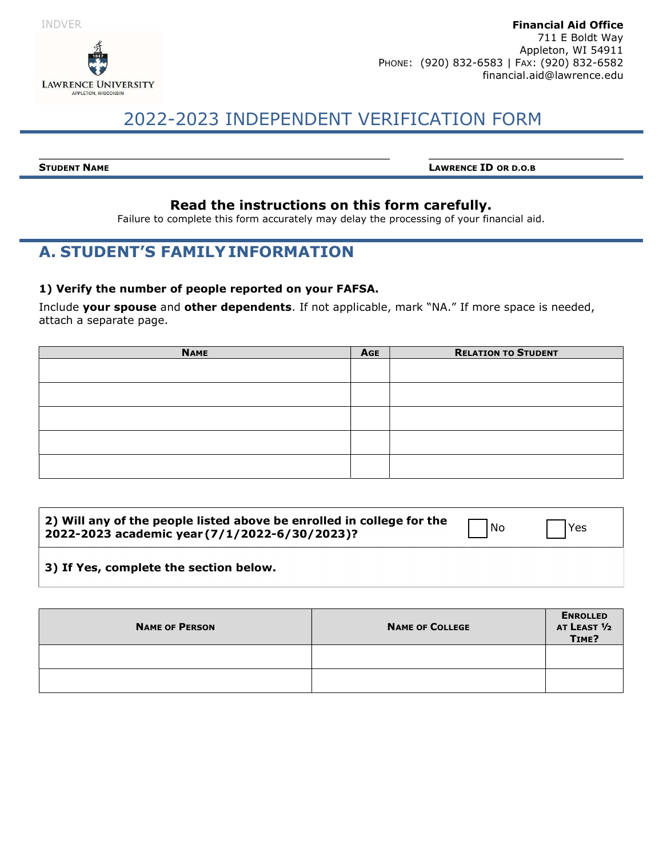



# 2022-2023 INDEPENDENT VERIFICATION FORM

STUDENT NAME LAWRENCE ID OR D.O.B

### Read the instructions on this form carefully.

Failure to complete this form accurately may delay the processing of your financial aid.

## A. STUDENT'S FAMILY INFORMATION

#### 1) Verify the number of people reported on your FAFSA.

Include your spouse and other dependents. If not applicable, mark "NA." If more space is needed, attach a separate page.

| <b>NAME</b> | <b>AGE</b> | <b>RELATION TO STUDENT</b> |
|-------------|------------|----------------------------|
|             |            |                            |
|             |            |                            |
|             |            |                            |
|             |            |                            |
|             |            |                            |
|             |            |                            |
|             |            |                            |
|             |            |                            |
|             |            |                            |
|             |            |                            |

| <b>NAME OF PERSON</b> | <b>NAME OF COLLEGE</b> | <b>ENROLLED</b><br>AT LEAST 1/2<br>TIME? |
|-----------------------|------------------------|------------------------------------------|
|                       |                        |                                          |
|                       |                        |                                          |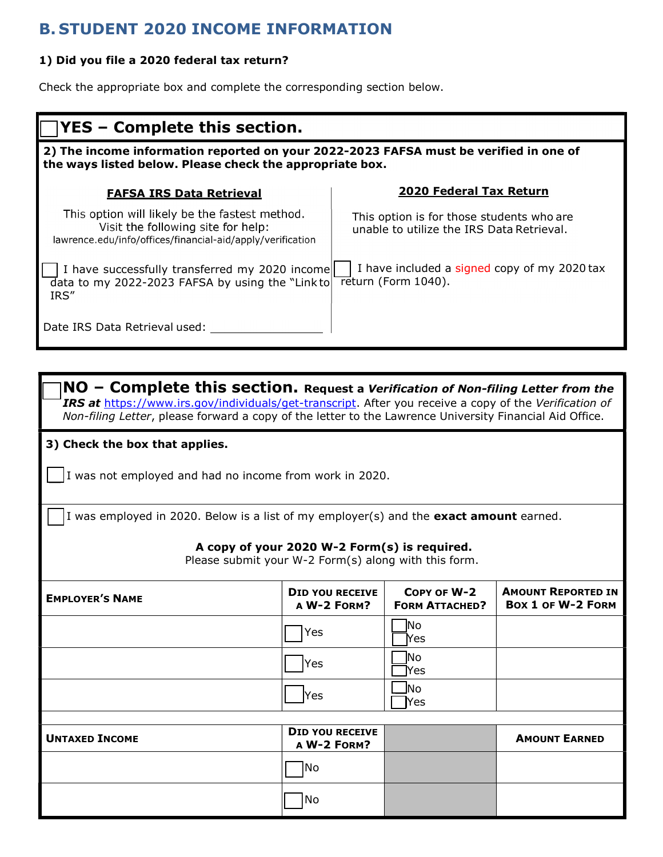## B. STUDENT 2020 INCOME INFORMATION

#### 1) Did you file a 2020 federal tax return?

Check the appropriate box and complete the corresponding section below.

| <b>YES – Complete this section.</b>                                                                                                                |                                                                                        |  |
|----------------------------------------------------------------------------------------------------------------------------------------------------|----------------------------------------------------------------------------------------|--|
| 2) The income information reported on your 2022-2023 FAFSA must be verified in one of<br>the ways listed below. Please check the appropriate box.  |                                                                                        |  |
| <b>FAFSA IRS Data Retrieval</b>                                                                                                                    | 2020 Federal Tax Return                                                                |  |
| This option will likely be the fastest method.<br>Visit the following site for help:<br>lawrence.edu/info/offices/financial-aid/apply/verification | This option is for those students who are<br>unable to utilize the IRS Data Retrieval. |  |
| I have successfully transferred my 2020 income<br>$\overline{d}$ ata to my 2022-2023 FAFSA by using the "Linkto<br>IRS"                            | I have included a signed copy of my 2020 tax<br>return (Form 1040).                    |  |
| Date IRS Data Retrieval used:                                                                                                                      |                                                                                        |  |

 $\mathsf{NO}$  – Complete this section. Request a Verification of Non-filing Letter from the IRS at https://www.irs.gov/individuals/get-transcript. After you receive a copy of the Verification of Non-filing Letter, please forward a copy of the letter to the Lawrence University Financial Aid Office.

3) Check the box that applies.

I was not employed and had no income from work in 2020.

I was employed in 2020. Below is a list of my employer(s) and the **exact amount** earned.

#### A copy of your 2020 W-2 Form(s) is required.

Please submit your W-2 Form(s) along with this form.

| <b>EMPLOYER'S NAME</b> | DID YOU RECEIVE<br>A W-2 FORM?        | COPY OF W-2<br><b>FORM ATTACHED?</b> | <b>AMOUNT REPORTED IN</b><br><b>BOX 1 OF W-2 FORM</b> |
|------------------------|---------------------------------------|--------------------------------------|-------------------------------------------------------|
|                        | Yes                                   | No.<br><b>Yes</b>                    |                                                       |
|                        | Yes                                   | No<br>¥es                            |                                                       |
|                        | Yes                                   | lNo.<br><b>Yes</b>                   |                                                       |
|                        |                                       |                                      |                                                       |
| <b>UNTAXED INCOME</b>  | <b>DID YOU RECEIVE</b><br>A W-2 FORM? |                                      | <b>AMOUNT EARNED</b>                                  |
|                        | No                                    |                                      |                                                       |
|                        | No                                    |                                      |                                                       |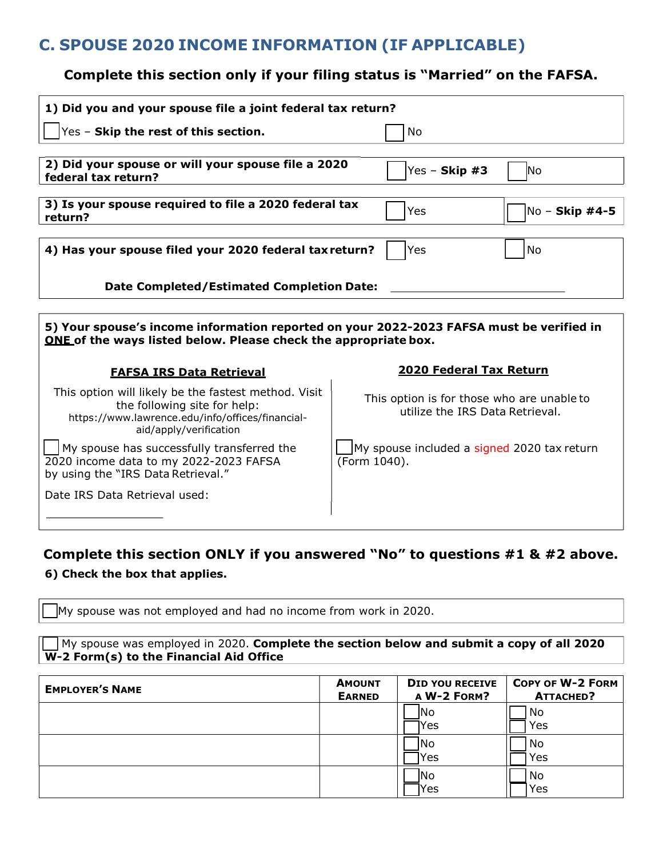## C. SPOUSE 2020 INCOME INFORMATION (IF APPLICABLE)

### Complete this section only if your filing status is "Married" on the FAFSA.

| 1) Did you and your spouse file a joint federal tax return?                                                                                                        |                                                                               |  |
|--------------------------------------------------------------------------------------------------------------------------------------------------------------------|-------------------------------------------------------------------------------|--|
| $\gamma$ es - Skip the rest of this section.                                                                                                                       | No                                                                            |  |
| 2) Did your spouse or will your spouse file a 2020<br>federal tax return?                                                                                          | Yes - Skip $#3$<br><b>No</b>                                                  |  |
| 3) Is your spouse required to file a 2020 federal tax<br>return?                                                                                                   | No - Skip #4-5<br>Yes                                                         |  |
| 4) Has your spouse filed your 2020 federal tax return?                                                                                                             | <b>No</b><br>Yes                                                              |  |
| <b>Date Completed/Estimated Completion Date:</b>                                                                                                                   |                                                                               |  |
| 5) Your spouse's income information reported on your 2022-2023 FAFSA must be verified in<br>ONE of the ways listed below. Please check the appropriate box.        |                                                                               |  |
| <b>FAFSA IRS Data Retrieval</b>                                                                                                                                    | 2020 Federal Tax Return                                                       |  |
| This option will likely be the fastest method. Visit<br>the following site for help:<br>https://www.lawrence.edu/info/offices/financial-<br>aid/apply/verification | This option is for those who are unable to<br>utilize the IRS Data Retrieval. |  |
| My spouse has successfully transferred the<br>2020 income data to my 2022-2023 FAFSA<br>by using the "IRS Data Retrieval."                                         | My spouse included a signed 2020 tax return<br>(Form 1040).                   |  |
| Date IRS Data Retrieval used:                                                                                                                                      |                                                                               |  |
|                                                                                                                                                                    |                                                                               |  |

### Complete this section ONLY if you answered "No" to questions #1 & #2 above. 6) Check the box that applies.

My spouse was not employed and had no income from work in 2020.

 $\nabla$  My spouse was employed in 2020. Complete the section below and submit a copy of all 2020 W-2 Form(s) to the Financial Aid Office

| <b>EMPLOYER'S NAME</b> | <b>AMOUNT</b><br><b>EARNED</b> | <b>DID YOU RECEIVE</b><br>A W-2 FORM? | COPY OF W-2 FORM<br>ATTACHED? |
|------------------------|--------------------------------|---------------------------------------|-------------------------------|
|                        |                                | INo.<br>lYes                          | No<br>Yes                     |
|                        |                                | lNo.<br>Yes                           | No<br>Yes                     |
|                        |                                | INo.<br>lYes                          | No<br>Yes                     |